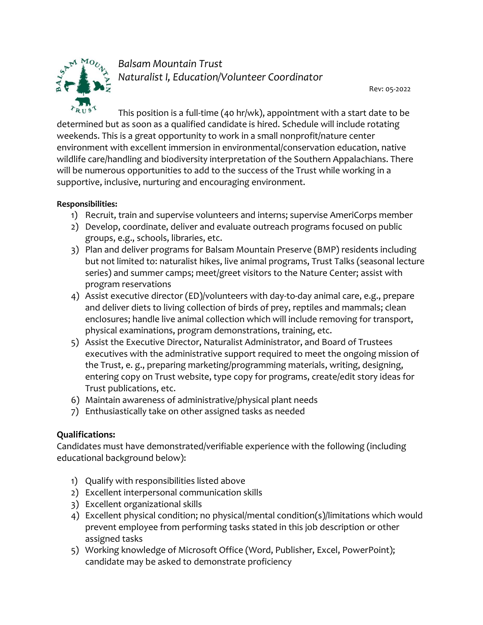

*Balsam Mountain Trust Naturalist I, Education/Volunteer Coordinator* 

Rev: 05-2022

This position is a full-time (40 hr/wk), appointment with a start date to be determined but as soon as a qualified candidate is hired. Schedule will include rotating weekends. This is a great opportunity to work in a small nonprofit/nature center environment with excellent immersion in environmental/conservation education, native wildlife care/handling and biodiversity interpretation of the Southern Appalachians. There will be numerous opportunities to add to the success of the Trust while working in a supportive, inclusive, nurturing and encouraging environment.

### **Responsibilities:**

- 1) Recruit, train and supervise volunteers and interns; supervise AmeriCorps member
- 2) Develop, coordinate, deliver and evaluate outreach programs focused on public groups, e.g., schools, libraries, etc.
- 3) Plan and deliver programs for Balsam Mountain Preserve (BMP) residents including but not limited to: naturalist hikes, live animal programs, Trust Talks (seasonal lecture series) and summer camps; meet/greet visitors to the Nature Center; assist with program reservations
- 4) Assist executive director (ED)/volunteers with day-to-day animal care, e.g., prepare and deliver diets to living collection of birds of prey, reptiles and mammals; clean enclosures; handle live animal collection which will include removing for transport, physical examinations, program demonstrations, training, etc.
- 5) Assist the Executive Director, Naturalist Administrator, and Board of Trustees executives with the administrative support required to meet the ongoing mission of the Trust, e. g., preparing marketing/programming materials, writing, designing, entering copy on Trust website, type copy for programs, create/edit story ideas for Trust publications, etc.
- 6) Maintain awareness of administrative/physical plant needs
- 7) Enthusiastically take on other assigned tasks as needed

## **Qualifications:**

Candidates must have demonstrated/verifiable experience with the following (including educational background below):

- 1) Qualify with responsibilities listed above
- 2) Excellent interpersonal communication skills
- 3) Excellent organizational skills
- 4) Excellent physical condition; no physical/mental condition(s)/limitations which would prevent employee from performing tasks stated in this job description or other assigned tasks
- 5) Working knowledge of Microsoft Office (Word, Publisher, Excel, PowerPoint); candidate may be asked to demonstrate proficiency